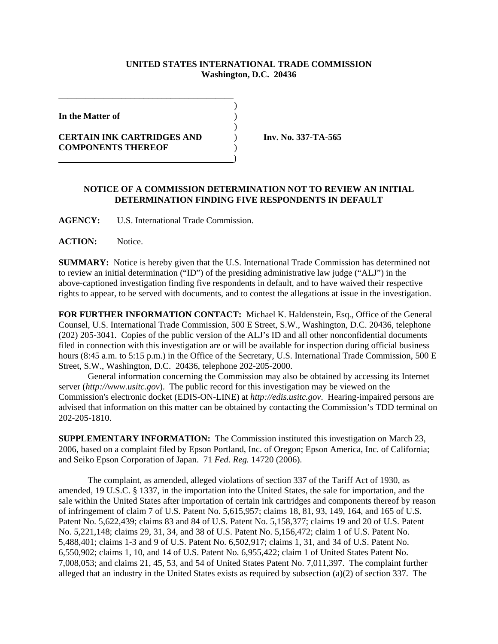## **UNITED STATES INTERNATIONAL TRADE COMMISSION Washington, D.C. 20436**

)

)

**In the Matter of** )

**CERTAIN INK CARTRIDGES AND** ) **Inv. No. 337-TA-565 COMPONENTS THEREOF** )

\_\_\_\_\_\_\_\_\_\_\_\_\_\_\_\_\_\_\_\_\_\_\_\_\_\_\_\_\_\_\_\_\_\_\_\_\_\_\_

)

## **NOTICE OF A COMMISSION DETERMINATION NOT TO REVIEW AN INITIAL DETERMINATION FINDING FIVE RESPONDENTS IN DEFAULT**

**AGENCY:** U.S. International Trade Commission.

**ACTION:** Notice.

**SUMMARY:** Notice is hereby given that the U.S. International Trade Commission has determined not to review an initial determination ("ID") of the presiding administrative law judge ("ALJ") in the above-captioned investigation finding five respondents in default, and to have waived their respective rights to appear, to be served with documents, and to contest the allegations at issue in the investigation.

**FOR FURTHER INFORMATION CONTACT:** Michael K. Haldenstein, Esq., Office of the General Counsel, U.S. International Trade Commission, 500 E Street, S.W., Washington, D.C. 20436, telephone (202) 205-3041. Copies of the public version of the ALJ's ID and all other nonconfidential documents filed in connection with this investigation are or will be available for inspection during official business hours (8:45 a.m. to 5:15 p.m.) in the Office of the Secretary, U.S. International Trade Commission, 500 E Street, S.W., Washington, D.C. 20436, telephone 202-205-2000.

General information concerning the Commission may also be obtained by accessing its Internet server (*http://www.usitc.gov*). The public record for this investigation may be viewed on the Commission's electronic docket (EDIS-ON-LINE) at *http://edis.usitc.gov*. Hearing-impaired persons are advised that information on this matter can be obtained by contacting the Commission's TDD terminal on 202-205-1810.

**SUPPLEMENTARY INFORMATION:** The Commission instituted this investigation on March 23, 2006, based on a complaint filed by Epson Portland, Inc. of Oregon; Epson America, Inc. of California; and Seiko Epson Corporation of Japan. 71 *Fed. Reg.* 14720 (2006).

The complaint, as amended, alleged violations of section 337 of the Tariff Act of 1930, as amended, 19 U.S.C. § 1337, in the importation into the United States, the sale for importation, and the sale within the United States after importation of certain ink cartridges and components thereof by reason of infringement of claim 7 of U.S. Patent No. 5,615,957; claims 18, 81, 93, 149, 164, and 165 of U.S. Patent No. 5,622,439; claims 83 and 84 of U.S. Patent No. 5,158,377; claims 19 and 20 of U.S. Patent No. 5,221,148; claims 29, 31, 34, and 38 of U.S. Patent No. 5,156,472; claim 1 of U.S. Patent No. 5,488,401; claims 1-3 and 9 of U.S. Patent No. 6,502,917; claims 1, 31, and 34 of U.S. Patent No. 6,550,902; claims 1, 10, and 14 of U.S. Patent No. 6,955,422; claim 1 of United States Patent No. 7,008,053; and claims 21, 45, 53, and 54 of United States Patent No. 7,011,397. The complaint further alleged that an industry in the United States exists as required by subsection (a)(2) of section 337. The